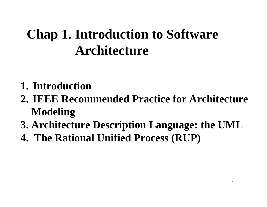# **Chap 1. Introduction to Software Architecture**

- **1. Introduction**
- **2. IEEE Recommended Practice for Architecture Modeling**
- **3. Architecture Description Language: the UML**
- **4. The Rational Unified Process (RUP)**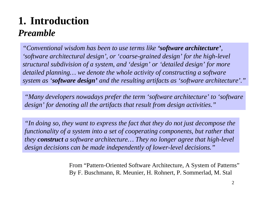## **1. Introduction***Preamble*

*"Conventional wisdom has been to use terms like 'software architecture', 'software architectural design', or 'coarse-grained design' for the high-level structural subdivision of a system, and 'design' or 'detailed design' for more detailed planning… we denote the whole activity of constructing a software system as 'software design' and the resulting artifacts as 'software architecture'."*

*"Many developers nowadays prefer the term 'software architecture' to 'software design' for denoting all the artifacts that result from design activities."* 

*"In doing so, they want to express the fact that they do not just decompose the functionality of a system into a set of cooperating components, but rather that they construct a software architecture… They no longer agree that high-level design decisions can be made independently of lower-level decisions."*

> From "Pattern-Oriented Software Architecture, A System of Patterns" By F. Buschmann, R. Meunier, H. Rohnert, P. Sommerlad, M. Stal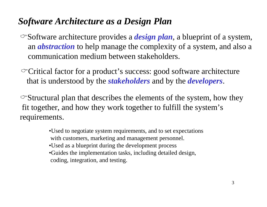### *Software Architecture as a Design Plan*

- Software architecture provides a *design plan*, a blueprint of a system, an *abstraction* to help manage the complexity of a system, and also a communication medium between stakeholders.
- $\sigma$ Critical factor for a product's success: good software architecture that is understood by the *stakeholders* and by the *developers*.

 $\circ$ Structural plan that describes the elements of the system, how they fit together, and how they work together to fulfill the system's requirements.

> •Used to negotiate system requirements, and to set expectations with customers, marketing and management personnel. •Used as a blueprint during the development process •Guides the implementation tasks, including detailed design, coding, integration, and testing.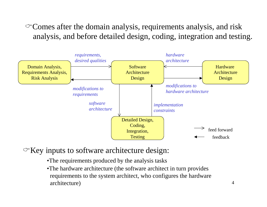### $\circ$  Comes after the domain analysis, requirements analysis, and risk analysis, and before detailed design, coding, integration and testing.



#### $\mathcal{F}$  Key inputs to software architecture design:

- •The requirements produced by the analysis tasks
- •The hardware architecture (the software architect in turn provides requirements to the system architect, who configures the hardware architecture)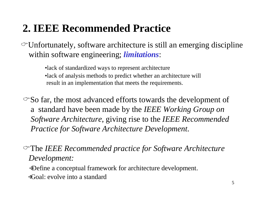# **2. IEEE Recommended Practice**

 $\circ$  Unfortunately, software architecture is still an emerging discipline within software engineering; *limitations*:

> •lack of standardized ways to represent architecture •lack of analysis methods to predict whether an architecture will result in an implementation that meets the requirements.

 $\circ$ So far, the most advanced efforts towards the development of a standard have been made by the *IEEE Working Group on Software Architecture*, giving rise to the *IEEE Recommended Practice for Software Architecture Development*.

The *IEEE Recommended practice for Software Architecture Development:*

<sup>÷</sup>Define a conceptual framework for architecture development. ÷Goal: evolve into a standard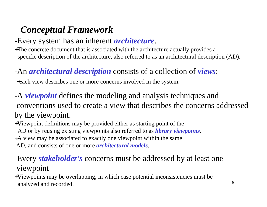### *Conceptual Framework*

### -Every system has an inherent *architecture*.

<sup>÷</sup>The concrete document that is associated with the architecture actually provides a specific description of the architecture, also referred to as an architectural description (AD).

### -An *architectural description* consists of a collection of *views*:

<sup>÷</sup>each view describes one or more concerns involved in the system.

- -A *viewpoint* defines the modeling and analysis techniques and conventions used to create a view that describes the concerns addressed by the viewpoint.
- <sup>÷</sup>Viewpoint definitions may be provided either as starting point of the AD or by reusing existing viewpoints also referred to as *library viewpoints.* <sup>÷</sup>A view may be associated to exactly one viewpoint within the same AD, and consists of one or more *architectural models*.

### -Every *stakeholder's* concerns must be addressed by at least one viewpoint

<sup>÷</sup>Viewpoints may be overlapping, in which case potential inconsistencies must be analyzed and recorded.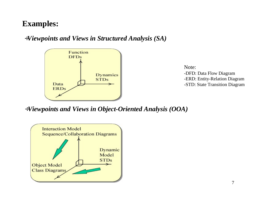### **Examples:**

#### <sup>÷</sup>*Viewpoints and Views in Structured Analysis (SA)*



Note:-DFD: Data Flow Diagram -ERD: Entity-Relation Diagram -STD: State Transition Diagram

<sup>÷</sup>*Viewpoints and Views in Object-Oriented Analysis (OOA)*

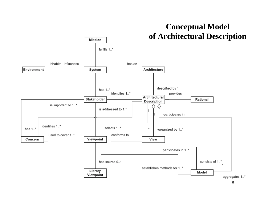### **Conceptual Model of Architectural Description**

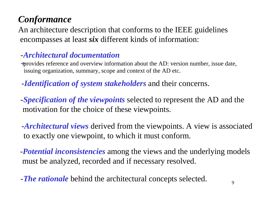### *Conformance*

An architecture description that conforms to the IEEE guidelines encompasses at least *six* different kinds of information:

### -*Architectural documentation*

<sup>÷</sup>provides reference and overview information about the AD: version number, issue date, issuing organization, summary, scope and context of the AD etc.

-*Identification of system stakeholders* and their concerns.

-*Specification of the viewpoints* selected to represent the AD and the motivation for the choice of these viewpoints.

-*Architectural views* derived from the viewpoints. A view is associated to exactly one viewpoint, to which it must conform.

-*Potential inconsistencies* among the views and the underlying models must be analyzed, recorded and if necessary resolved.

-*The rationale* behind the architectural concepts selected.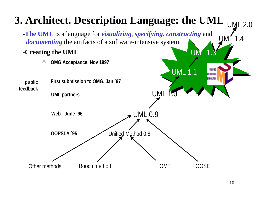#### **3. Architect. Description Language: the UML** UML 2.0-**The UML** is a language for *visualizing*, *specifying*, *constructing* and UML 1.4*documenting* the artifacts of a software-intensive system. UM<sub>1</sub> -**Creating the UML OMG Acceptance, Nov 1997** UNIFIED UML **MODELING** ANGUAGE **First submission to OMG, Jan ´97 public feedback**UML partners UML 1.0 **Web - June ´96** UML 0.9**OOPSLA ´95**Unified Method 0.8

s Booch method **OMT** OOSE Other methods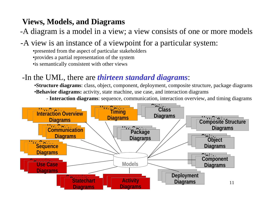### **Views, Models, and Diagrams**

-A diagram is a model in a view; a view consists of one or more models

-A view is an instance of a viewpoint for a particular system:

•presented from the aspect of particular stakeholders •provides a partial representation of the system •is semantically consistent with other views

### -In the UML, there are *thirteen standard diagrams*:

•**Structure diagrams**: class, object, component, deployment, composite structure, package diagrams •**Behavior diagrams:** activity, state machine, use case, and interaction diagrams

- **Interaction diagrams**: sequence, communication, interaction overview, and timing diagrams

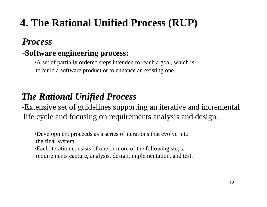# **4. The Rational Unified Process (RUP)**

### *Process*

### **-Software engineering process:**

•A set of partially ordered steps intended to reach a goal, which is to build a software product or to enhance an existing one.

### *The Rational Unified Process*

-Extensive set of guidelines supporting an iterative and incremental life cycle and focusing on requirements analysis and design.

•Development proceeds as a series of iterations that evolve into the final system.

•Each iteration consists of one or more of the following steps: requirements capture, analysis, design, implementation, and test.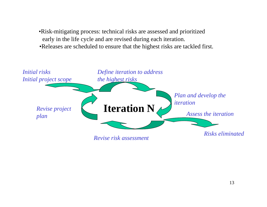•Risk-mitigating process: technical risks are assessed and prioritized early in the life cycle and are revised during each iteration.

•Releases are scheduled to ensure that the highest risks are tackled first.

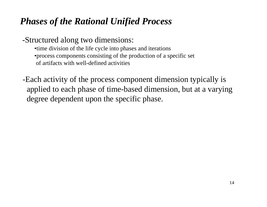### *Phases of the Rational Unified Process*

#### -Structured along two dimensions:

•time division of the life cycle into phases and iterations •process components consisting of the production of a specific set of artifacts with well-defined activities

-Each activity of the process component dimension typically is applied to each phase of time-based dimension, but at a varying degree dependent upon the specific phase.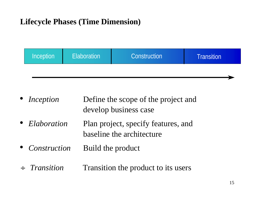### **Lifecycle Phases (Time Dimension)**



- • *Inception* Define the scope of the project and develop business case
- • *Elaboration* Plan project, specify features, and baseline the architecture
- • *Construction*Build the product
- $\div$ *Transition* Transition the product to its users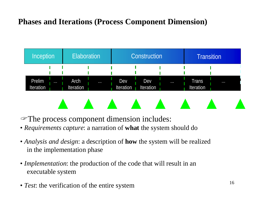### **Phases and Iterations (Process Component Dimension)**



 $\mathcal{F}$ The process component dimension includes:

- *Requirements capture*: a narration of **what** the system should do
- *Analysis and design*: a description of **how** the system will be realized in the implementation phase
- *Implementation*: the production of the code that will result in an executable system
- *Test*: the verification of the entire system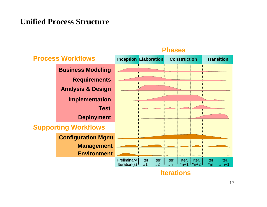#### **Unified Process Structure**

#### **Phases**

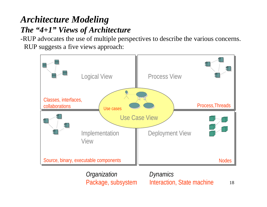### *Architecture Modeling The "4+1" Views of Architecture*

-RUP advocates the use of multiple perspectives to describe the various concerns. RUP suggests a five views approach:



*Organization* Package, subsystem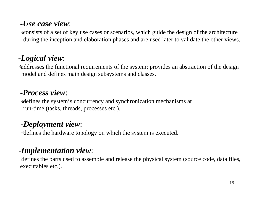### -*Use case view*:

<sup>÷</sup>consists of a set of key use cases or scenarios, which guide the design of the architecture during the inception and elaboration phases and are used later to validate the other views.

### -*Logical view*:

<sup>÷</sup>addresses the functional requirements of the system; provides an abstraction of the design model and defines main design subsystems and classes.

### -*Process view*:

<sup>÷</sup>defines the system's concurrency and synchronization mechanisms at run-time (tasks, threads, processes etc.).

### -*Deployment view*:

<sup>÷</sup>defines the hardware topology on which the system is executed.

#### -*Implementation view*:

<sup>÷</sup>defines the parts used to assemble and release the physical system (source code, data files, executables etc.).